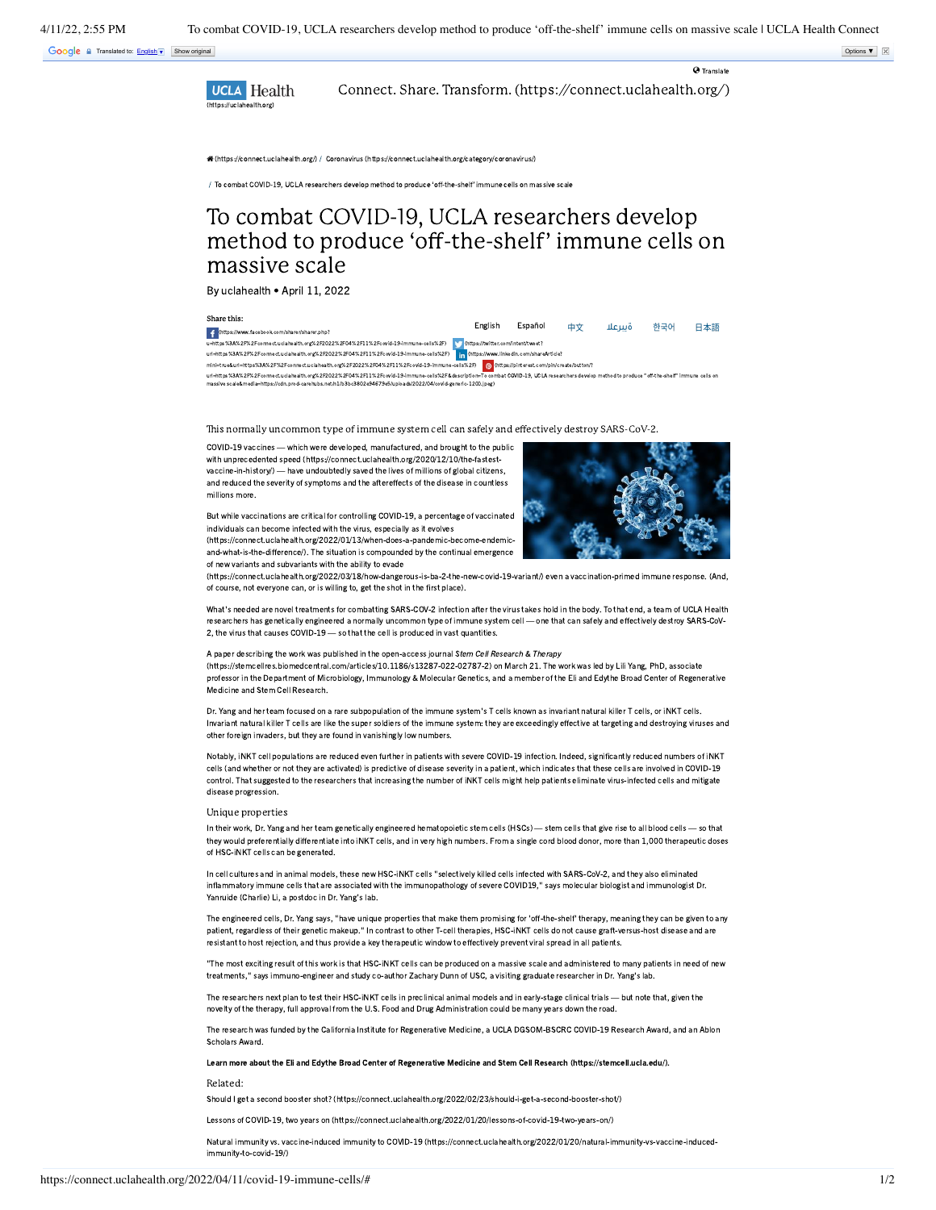Google a Translated to: [English](javascript:void(0)) (F) Show original Options ▼ | ⊠

UCLA Health [Connect. Share. Transform. \(https://connect.uclahealth.org/\)](https://connect.uclahealth.org/)

[\(https://connect.uclahealth.org/\)](https://connect.uclahealth.org/) / Coronavirus [\(https://connect.uclahealth.org/category/coronavirus/\)](https://connect.uclahealth.org/category/coronavirus/)

/ To combat COVID-19, UCLA researchers develop method to produce 'off-the-shelf' immune cells on massive scale

## To combat COVID-19, UCLA researchers develop method to produce 'off-the-shelf' immune cells on massive scale

By uclahealth • April 11, 2022

Share this:

English Español 中文 ةسعلا 한국어 日本語 (https://www.facebook.com/sharer/sharer.php? [u=https%3A%2F%2Fconnect.uclahealth.org%2F2022%2F04%2F11%2Fcovid-19-immune-cells%2F\)](https://www.facebook.com/sharer/sharer.php?u=https%3A%2F%2Fconnect.uclahealth.org%2F2022%2F04%2F11%2Fcovid-19-immune-cells%2F) v (https://twitter.com/intent/tweet [url=https%3A%2F%2Fconnect.uclahealth.org%2F2022%2F04%2F11%2Fcovid-19-immune-cells%2F\)](https://twitter.com/intent/tweet?url=https%3A%2F%2Fconnect.uclahealth.org%2F2022%2F04%2F11%2Fcovid-19-immune-cells%2F) [11] (https://www.linkedin.com/shareArticle? [mini=true&url=https%3A%2F%2Fconnect.uclahealth.org%2F2022%2F04%2F11%2Fcovid-19-immune-cells%2F\)](https://www.linkedin.com/shareArticle?mini=true&url=https%3A%2F%2Fconnect.uclahealth.org%2F2022%2F04%2F11%2Fcovid-19-immune-cells%2F) <mark>@</mark> {https://pinterest.com/pin/create/button/?<br>url=https%3A%2FF22Fconnect.uclahedth.org%2F202%2F04%2F11%2Fcovid-19-immune-cell

This normally uncommon type of immune system cell can safely and effectively destroy SARS-CoV-2.

COVID-19 vaccines — which were developed, manufactured, and brought to the public with unprecedented speed [\(https://connect.uclahealth.org/2020/12/10/the-fastest](https://connect.uclahealth.org/2020/12/10/the-fastest-vaccine-in-history/)vaccine-in-history/) — have undoubtedly saved the lives of millions of global citizens, and reduced the severity of symptoms and the aftereffects of the disease in countless millions more.

But while vaccinations are critical for controlling COVID-19, a percentage of vaccinated individuals can become infected with the virus, especially as it evolves [\(https://connect.uclahealth.org/2022/01/13/when-does-a-pandemic-become-endemic](https://connect.uclahealth.org/2022/01/13/when-does-a-pandemic-become-endemic-and-what-is-the-difference/)and-what-is-the-difference/). The situation is compounded by the continual emergence

of new variants and subvariants with the ability to evade



**Q** Translate

[\(https://connect.uclahealth.org/2022/03/18/how-dangerous-is-ba-2-the-new-covid-19-variant/\)](https://connect.uclahealth.org/2022/03/18/how-dangerous-is-ba-2-the-new-covid-19-variant/) even a vaccination-primed immune response. (And, of course, not everyone can, or is willing to, get the shot in the first place).

What's needed are novel treatments for combatting SARS-COV-2 infection after the virus takes hold in the body. To that end, a team of UCLA Health researchers has genetically engineered a normally uncommon type of immune system cell — one that can safely and effectively destroy SARS-CoV-2, the virus that causes COVID-19 - so that the cell is produced in vast quantities.

A paper describing the work was published in the open-access journal Stem Cell Research & Therapy [\(https://stemcellres.biomedcentral.com/articles/10.1186/s13287-022-02787-2\)](https://stemcellres.biomedcentral.com/articles/10.1186/s13287-022-02787-2) on March 21. The work was led by Lili Yang, PhD, associate professor in the Department of Microbiology, Immunology & Molecular Genetics, and a member of the Eli and Edythe Broad Center of Regenerative Medicine and Stem Cell Research.

Dr. Yang and her team focused on a rare subpopulation of the immune system's T cells known as invariant natural killer T cells, or iNKT cells. Invariant natural killer T cells are like the super soldiers of the immune system: they are exceedingly effective at targeting and destroying viruses and other foreign invaders, but they are found in vanishingly low numbers.

Notably, iNKT cell populations are reduced even further in patients with severe COVID-19 infection. Indeed, significantly reduced numbers of iNKT cells (and whether or not they are activated) is predictive of disease severity in a patient, which indicates that these cells are involved in COVID-19 control. That suggested to the researchers that increasing the number of iNKT cells might help patients eliminate virus-infected cells and mitigate disease progression.

## Unique properties

In their work, Dr. Yang and her team genetically engineered hematopoietic stem cells (HSCs) — stem cells that give rise to all blood cells — so that they would preferentially differentiate into iNKT cells, and in very high numbers. From a single cord blood donor, more than 1,000 therapeutic doses of HSC-iNKT cells can be generated.

In cell cultures and in animal models, these new HSC-iNKT cells "selectively killed cells infected with SARS-CoV-2, and they also eliminated inflammatory immune cells that are associated with the immunopathology of severe COVID19," says molecular biologist and immunologist Dr. Yanruide (Charlie) Li, a postdoc in Dr. Yang's lab.

The engineered cells, Dr. Yang says, "have unique properties that make them promising for 'off-the-shelf' therapy, meaning they can be given to any patient, regardless of their genetic makeup." In contrast to other T-cell therapies, HSC-iNKT cells do not cause graft-versus-host disease and are resistant to host rejection, and thus provide a key therapeutic window to effectively prevent viral spread in all patients.

"The most exciting result of this work is that HSC-iNKT cells can be produced on a massive scale and administered to many patients in need of new treatments," says immuno-engineer and study co-author Zachary Dunn of USC, a visiting graduate researcher in Dr. Yang's lab.

The researchers next plan to test their HSC-iNKT cells in preclinical animal models and in early-stage clinical trials — but note that, given the novelty of the therapy, full approval from the U.S. Food and Drug Administration could be many years down the road.

The research was funded by the California Institute for Regenerative Medicine, a UCLA DGSOM-BSCRC COVID-19 Research Award, and an Ablon Scholars Award.

Learn more about the Eli and Edythe Broad Center of Regenerative Medicine and Stem Cell Research [\(https://stemcell.ucla.edu/\).](https://stemcell.ucla.edu/)

Related:

Should I get a second booster shot? [\(https://connect.uclahealth.org/2022/02/23/should-i-get-a-second-booster-shot/\)](https://connect.uclahealth.org/2022/02/23/should-i-get-a-second-booster-shot/)

Lessons of COVID-19, two years on [\(https://connect.uclahealth.org/2022/01/20/lessons-of-covid-19-two-years-on/\)](https://connect.uclahealth.org/2022/01/20/lessons-of-covid-19-two-years-on/)

Natural immunity vs. vaccine-induced immunity to COVID-19 [\(https://connect.uclahealth.org/2022/01/20/natural-immunity-vs-vaccine-induced](https://connect.uclahealth.org/2022/01/20/natural-immunity-vs-vaccine-induced-immunity-to-covid-19/)immunity-to-covid-19/)